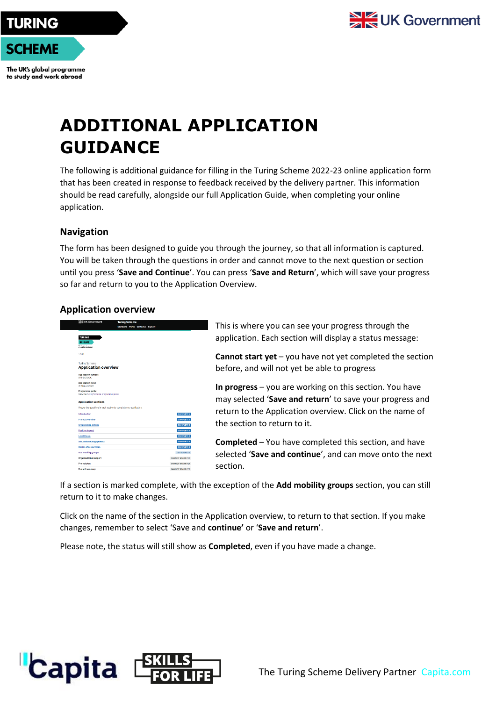

The UK's global programme to study and work abroad

# **ADDITIONAL APPLICATION GUIDANCE**

The following is additional guidance for filling in the Turing Scheme 2022-23 online application form that has been created in response to feedback received by the delivery partner. This information should be read carefully, alongside our full Application Guide, when completing your online application.

## **Navigation**

The form has been designed to guide you through the journey, so that all information is captured. You will be taken through the questions in order and cannot move to the next question or section until you press '**Save and Continue**'. You can press '**Save and Return**', which will save your progress so far and return to you to the Application Overview.

# **Application overview**



This is where you can see your progress through the application. Each section will display a status message:

**Cannot start yet** – you have not yet completed the section before, and will not yet be able to progress

**In progress** – you are working on this section. You have may selected '**Save and return**' to save your progress and return to the Application overview. Click on the name of the section to return to it.

**Completed** – You have completed this section, and have selected '**Save and continue**', and can move onto the next section.

If a section is marked complete, with the exception of the **Add mobility groups** section, you can still return to it to make changes.

Click on the name of the section in the Application overview, to return to that section. If you make changes, remember to select 'Save and **continue'** or '**Save and return**'.

Please note, the status will still show as **Completed**, even if you have made a change.

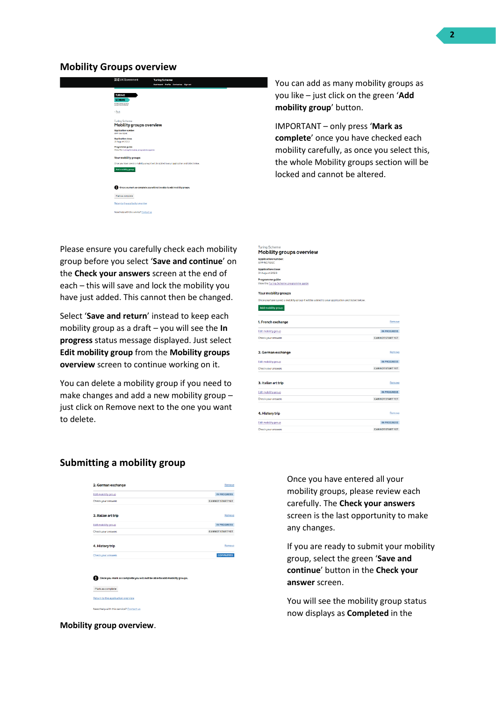#### **Mobility Groups overview**

| <b>全地UK Government</b>                                                                      | <b>Turing Scheme</b>                |  |  |
|---------------------------------------------------------------------------------------------|-------------------------------------|--|--|
|                                                                                             | Dashboard Profile Contactus Signout |  |  |
|                                                                                             |                                     |  |  |
| <b>TURING</b>                                                                               |                                     |  |  |
| <b>SCHEME</b><br>The UK's global group commer                                               |                                     |  |  |
|                                                                                             |                                     |  |  |
| <b>Chark</b>                                                                                |                                     |  |  |
| <b>Turing Scheme</b>                                                                        |                                     |  |  |
| Mobility groups overview                                                                    |                                     |  |  |
| Application number:<br>APP 5G7GGC                                                           |                                     |  |  |
| <b>Application close</b>                                                                    |                                     |  |  |
| 31 August 2023                                                                              |                                     |  |  |
| Programme guide:<br>Wew the Turing Scheme programme guide                                   |                                     |  |  |
|                                                                                             |                                     |  |  |
| <b>Your mobility groups</b>                                                                 |                                     |  |  |
| Once you have saved a mobility group it will be added to your application and listed below. |                                     |  |  |
| Add mobility group                                                                          |                                     |  |  |
|                                                                                             |                                     |  |  |
|                                                                                             |                                     |  |  |
| Once you mark as complete you will not be able to add mobility groups.                      |                                     |  |  |
| Mark as complete                                                                            |                                     |  |  |
|                                                                                             |                                     |  |  |
| Return to the application overview                                                          |                                     |  |  |
| Need help with this service? Contact us                                                     |                                     |  |  |
|                                                                                             |                                     |  |  |
|                                                                                             |                                     |  |  |

Please ensure you carefully check each mobility group before you select '**Save and continue**' on the **Check your answers** screen at the end of each – this will save and lock the mobility you have just added. This cannot then be changed.

Select '**Save and return**' instead to keep each mobility group as a draft – you will see the **In progress** status message displayed. Just select **Edit mobility group** from the **Mobility groups overview** screen to continue working on it.

You can delete a mobility group if you need to make changes and add a new mobility group – just click on Remove next to the one you want to delete.

You can add as many mobility groups as you like – just click on the green '**Add mobility group**' button.

IMPORTANT – only press '**Mark as complete**' once you have checked each mobility carefully, as once you select this, the whole Mobility groups section will be locked and cannot be altered.

| <b>Turing Scheme</b><br>Mobility groups overview                                            |                         |
|---------------------------------------------------------------------------------------------|-------------------------|
| <b>Application number:</b><br>APP-5G7QGC                                                    |                         |
| <b>Application close:</b><br>31 August 2023                                                 |                         |
| Programme guide:<br>View the Turing Scheme programme guide                                  |                         |
| Your mobility groups                                                                        |                         |
| Once you have saved a mobility group it will be added to your application and listed below. |                         |
| Add mobility group                                                                          |                         |
| 1. French exchange                                                                          | Remove                  |
| Edit mobility group                                                                         | IN PROGRESS             |
| Check your answers                                                                          | <b>CANNOT START YET</b> |
| 2. German exchange                                                                          | Remove                  |
| Edit mobility group                                                                         | IN PROGRESS             |
| Check your answers                                                                          | <b>CANNOT START YET</b> |
| 3. Italian art trip                                                                         | Remove                  |
| Edit mobility group                                                                         | <b>IN PROGRESS</b>      |
| Check your answers                                                                          | <b>CANNOT START YET</b> |
| 4. History trip                                                                             | Remove                  |
| Edit mobility group                                                                         | IN PROGRESS             |
| Check your answers                                                                          | <b>CANNOT START YET</b> |

### **Submitting a mobility group**

| 2. German exchange                                                     | Remove                  |
|------------------------------------------------------------------------|-------------------------|
| Edit mobility group                                                    | IN PROGRESS             |
| Check your answers                                                     | <b>CANNOT START YET</b> |
| 3. Italian art trip                                                    | Remove                  |
| Edit mobility group                                                    | IN PROGRESS             |
| Check your answers                                                     | <b>CANNOT START YET</b> |
| 4. History trip                                                        | Remove                  |
| Check your answers                                                     | <b>COMPLETED</b>        |
| Once you mark as complete you will not be able to add mobility groups. |                         |
| Mark as complete                                                       |                         |
| Return to the application overview                                     |                         |

Once you have entered all your mobility groups, please review each carefully. The **Check your answers**  screen is the last opportunity to make any changes.

If you are ready to submit your mobility group, select the green '**Save and continue**' button in the **Check your answer** screen.

You will see the mobility group status now displays as **Completed** in the

**Mobility group overview**.

Need help with this service? Contact us